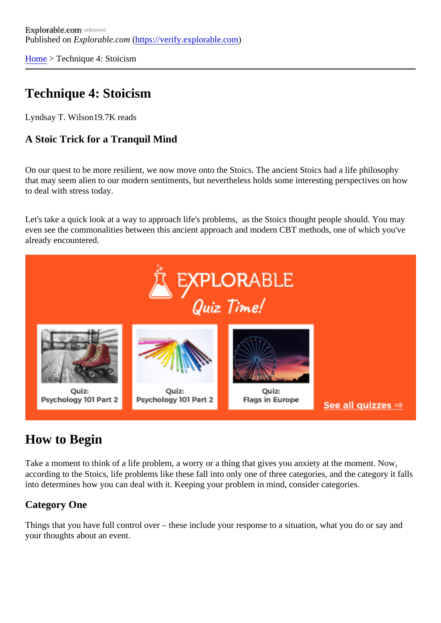[Home](https://verify.explorable.com/)> Technique 4: Stoicism

# Technique 4: Stoicism

Lyndsay T. Wilson 9.7K reads

A Stoic Trick for a Tranquil Mind

On our quest to be more resilient, we now move onto the Stoics. The ancient Stoics had a life philosophy that may seem alien to our modern sentiments, but nevertheless holds some interesting perspectives on h to deal with stress today.

Let's take a quick look at a way to approach life's problems, as the Stoics thought people should. You ma even see the commonalities between this ancient approach and modern CBT methods, one of which you've already encountered.

# How to Begin

Take a moment to think of a life problem, a worry or a thing that gives you anxiety at the moment. Now, according to the Stoics, life problems like these fall into only one of three categories, and the category it fa into determines how you can deal with it. Keeping your problem in mind, consider categories.

### Category One

Things that you have full control over – these include your response to a situation, what you do or say and your thoughts about an event.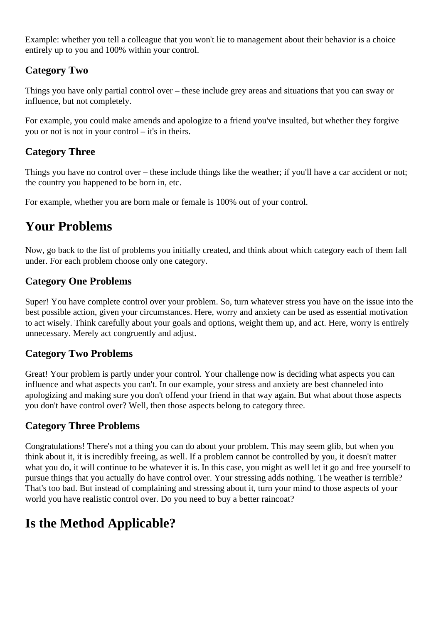Example: whether you tell a colleague that you won't lie to management about their behavior is a choice entirely up to you and 100% within your control.

## **Category Two**

Things you have only partial control over – these include grey areas and situations that you can sway or influence, but not completely.

For example, you could make amends and apologize to a friend you've insulted, but whether they forgive you or not is not in your control – it's in theirs.

## **Category Three**

Things you have no control over – these include things like the weather; if you'll have a car accident or not; the country you happened to be born in, etc.

For example, whether you are born male or female is 100% out of your control.

# **Your Problems**

Now, go back to the list of problems you initially created, and think about which category each of them fall under. For each problem choose only one category.

## **Category One Problems**

Super! You have complete control over your problem. So, turn whatever stress you have on the issue into the best possible action, given your circumstances. Here, worry and anxiety can be used as essential motivation to act wisely. Think carefully about your goals and options, weight them up, and act. Here, worry is entirely unnecessary. Merely act congruently and adjust.

### **Category Two Problems**

Great! Your problem is partly under your control. Your challenge now is deciding what aspects you can influence and what aspects you can't. In our example, your stress and anxiety are best channeled into apologizing and making sure you don't offend your friend in that way again. But what about those aspects you don't have control over? Well, then those aspects belong to category three.

### **Category Three Problems**

Congratulations! There's not a thing you can do about your problem. This may seem glib, but when you think about it, it is incredibly freeing, as well. If a problem cannot be controlled by you, it doesn't matter what you do, it will continue to be whatever it is. In this case, you might as well let it go and free yourself to pursue things that you actually do have control over. Your stressing adds nothing. The weather is terrible? That's too bad. But instead of complaining and stressing about it, turn your mind to those aspects of your world you have realistic control over. Do you need to buy a better raincoat?

# **Is the Method Applicable?**